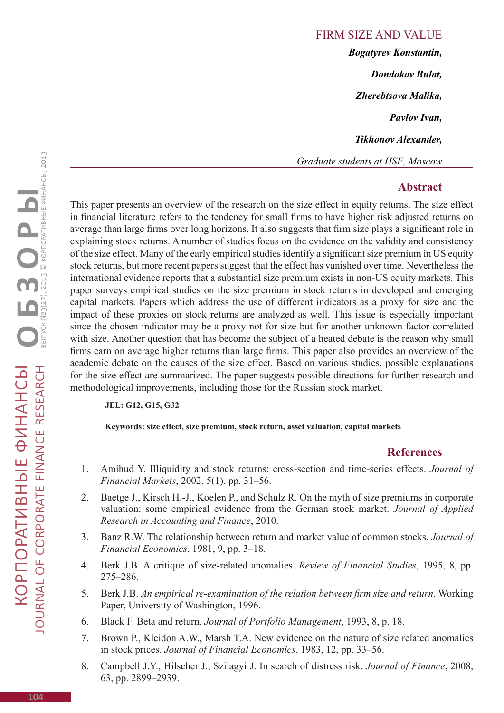Firm size and value *Bogatyrev Konstantin, Dondokov Bulat, Zherebtsova Malika, Pavlov Ivan, Tikhonov Alexander, Graduate students at HSE, Moscow*

## **Abstract**

This paper presents an overview of the research on the size effect in equity returns. The size effect in financial literature refers to the tendency for small firms to have higher risk adjusted returns on average than large firms over long horizons. It also suggests that firm size plays a significant role in explaining stock returns. A number of studies focus on the evidence on the validity and consistency of the size effect. Many of the early empirical studies identify a significant size premium in US equity stock returns, but more recent papers suggest that the effect has vanished over time. Nevertheless the international evidence reports that a substantial size premium exists in non-US equity markets. This paper surveys empirical studies on the size premium in stock returns in developed and emerging capital markets. Papers which address the use of different indicators as a proxy for size and the impact of these proxies on stock returns are analyzed as well. This issue is especially important since the chosen indicator may be a proxy not for size but for another unknown factor correlated with size. Another question that has become the subject of a heated debate is the reason why small firms earn on average higher returns than large firms. This paper also provides an overview of the academic debate on the causes of the size effect. Based on various studies, possible explanations for the size effect are summarized. The paper suggests possible directions for further research and methodological improvements, including those for the Russian stock market.

## **JEL: G12, G15, G32**

 **Keywords: size effect, size premium, stock return, asset valuation, capital markets**

## **References**

- 1. Amihud Y. Illiquidity and stock returns: cross-section and time-series effects. *Journal of Financial Markets*, 2002, 5(1), pp. 31–56.
- 2. Baetge J., Kirsch H.-J., Koelen P., and Schulz R. On the myth of size premiums in corporate valuation: some empirical evidence from the German stock market. *Journal of Applied Research in Accounting and Finance*, 2010.
- 3. Banz R.W. The relationship between return and market value of common stocks. *Journal of Financial Economics*, 1981, 9, pp. 3–18.
- 4. Berk J.B. A critique of size-related anomalies. *Review of Financial Studies*, 1995, 8, pp. 275–286.
- 5. Berk J.B. *An empirical re-examination of the relation between firm size and return*. Working Paper, University of Washington, 1996.
- 6. Black F. Beta and return. *Journal of Portfolio Management*, 1993, 8, p. 18.
- 7. Brown P., Kleidon A.W., Marsh T.A. New evidence on the nature of size related anomalies in stock prices. *Journal of Financial Economics*, 1983, 12, pp. 33–56.
- 8. Campbell J.Y., Hilscher J., Szilagyi J. In search of distress risk. *Journal of Finance*, 2008, 63, pp. 2899–2939.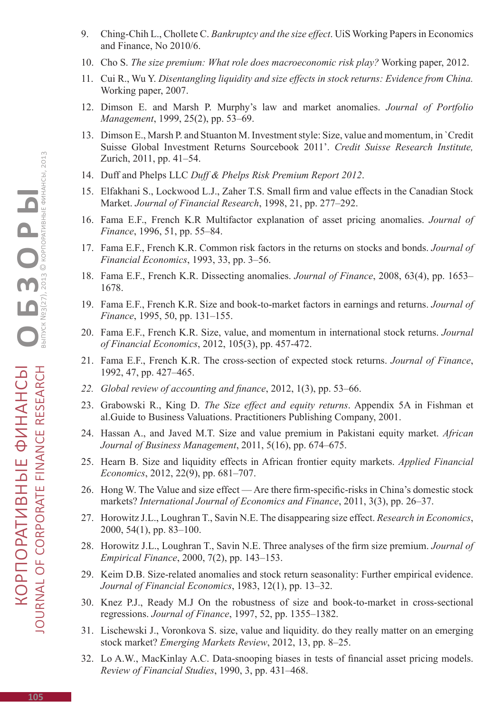- 9. Ching-Chih L., Chollete C. *Bankruptcy and the size effect*. UiS Working Papers in Economics and Finance, No 2010/6.
- 10. Cho S. *The size premium: What role does macroeconomic risk play?* Working paper, 2012.
- 11. Cui R., Wu Y. *Disentangling liquidity and size effects in stock returns: Evidence from China.* Working paper, 2007.
- 12. Dimson E. and Marsh P. Murphy's law and market anomalies. *Journal of Portfolio Management*, 1999, 25(2), pp. 53–69.
- 13. Dimson E., Marsh P. and Stuanton M. Investment style: Size, value and momentum, in `Credit Suisse Global Investment Returns Sourcebook 2011'. *Credit Suisse Research Institute,* Zurich, 2011, pp. 41–54.
- 14. Duff and Phelps LLC *Duff & Phelps Risk Premium Report 2012*.
- 15. Elfakhani S., Lockwood L.J., Zaher T.S. Small firm and value effects in the Canadian Stock Market. *Journal of Financial Research*, 1998, 21, pp. 277–292.
- 16. Fama E.F., French K.R Multifactor explanation of asset pricing anomalies. *Journal of Finance*, 1996, 51, pp. 55–84.
- 17. Fama E.F., French K.R. Common risk factors in the returns on stocks and bonds. *Journal of Financial Economics*, 1993, 33, pp. 3–56.
- 18. Fama E.F., French K.R. Dissecting anomalies. *Journal of Finance*, 2008, 63(4), pp. 1653– 1678.
- 19. Fama E.F., French K.R. Size and book-to-market factors in earnings and returns. *Journal of Finance*, 1995, 50, pp. 131–155.
- 20. Fama E.F., French K.R. Size, value, and momentum in international stock returns. *Journal of Financial Economics*, 2012, 105(3), pp. 457-472.
- 21. Fama E.F., French K.R. The cross-section of expected stock returns. *Journal of Finance*, 1992, 47, pp. 427–465.
- *22. Global review of accounting and finance*, 2012, 1(3), pp. 53–66.
- 23. Grabowski R., King D. *The Size effect and equity returns*. Appendix 5A in Fishman et al.Guide to Business Valuations. Practitioners Publishing Company, 2001.
- 24. Hassan A., and Javed M.T. Size and value premium in Pakistani equity market. *African Journal of Business Management*, 2011, 5(16), pp. 674–675.
- 25. Hearn B. Size and liquidity effects in African frontier equity markets. *Applied Financial Economics*, 2012, 22(9), pp. 681–707.
- 26. Hong W. The Value and size effect Are there firm-specific-risks in China's domestic stock markets? *International Journal of Economics and Finance*, 2011, 3(3), pp. 26–37.
- 27. Horowitz J.L., Loughran T., Savin N.E. The disappearing size effect. *Research in Economics*, 2000, 54(1), pp. 83–100.
- 28. Horowitz J.L., Loughran T., Savin N.E. Three analyses of the firm size premium. *Journal of Empirical Finance*, 2000, 7(2), pp. 143–153.
- 29. Keim D.B. Size-related anomalies and stock return seasonality: Further empirical evidence. *Journal of Financial Economics*, 1983, 12(1), pp. 13–32.
- 30. Knez P.J., Ready M.J On the robustness of size and book-to-market in cross-sectional regressions. *Journal of Finance*, 1997, 52, pp. 1355–1382.
- 31. Lischewski J., Voronkova S. size, value and liquidity. do they really matter on an emerging stock market? *Emerging Markets Review*, 2012, 13, pp. 8–25.
- 32. Lo A.W., MacKinlay A.C. Data-snooping biases in tests of financial asset pricing models. *Review of Financial Studies*, 1990, 3, pp. 431–468.